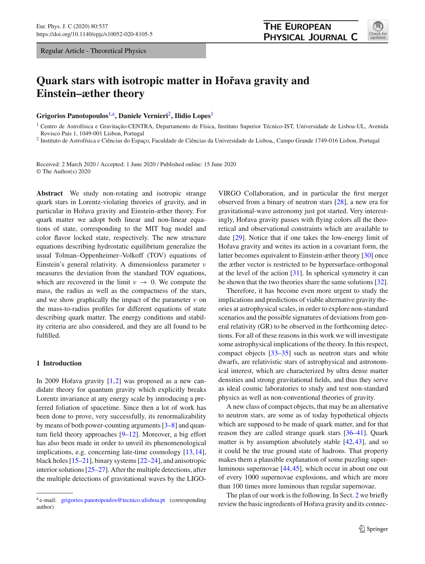Regular Article - Theoretical Physics

# **Quark stars with isotropic matter in Hoˇrava gravity and Einstein–æther theory**

## **Grigorios Panotopoulos**[1,](#page-0-0)a**, Daniele Vernieri**[2](#page-0-0)**, Ilidio Lopes**[1](#page-0-0)

<sup>1</sup> Centro de Astrofísica e Gravitação-CENTRA, Departamento de Física, Instituto Superior Técnico-IST, Universidade de Lisboa-UL, Avenida Rovisco Pais 1, 1049-001 Lisbon, Portugal

<sup>2</sup> Instituto de Astrofísica e Ciências do Espaço, Faculdade de Ciências da Universidade de Lisboa,, Campo Grande 1749-016 Lisbon, Portugal

Received: 2 March 2020 / Accepted: 1 June 2020 / Published online: 15 June 2020 © The Author(s) 2020

**Abstract** We study non-rotating and isotropic strange quark stars in Lorentz-violating theories of gravity, and in particular in Hořava gravity and Einstein-æther theory. For quark matter we adopt both linear and non-linear equations of state, corresponding to the MIT bag model and color flavor locked state, respectively. The new structure equations describing hydrostatic equilibrium generalize the usual Tolman–Oppenheimer–Volkoff (TOV) equations of Einstein's general relativity. A dimensionless parameter ν measures the deviation from the standard TOV equations, which are recovered in the limit  $\nu \rightarrow 0$ . We compute the mass, the radius as well as the compactness of the stars, and we show graphically the impact of the parameter  $\nu$  on the mass-to-radius profiles for different equations of state describing quark matter. The energy conditions and stability criteria are also considered, and they are all found to be fulfilled.

# **1 Introduction**

In 2009 Hořava gravity  $[1,2]$  $[1,2]$  $[1,2]$  was proposed as a new candidate theory for quantum gravity which explicitly breaks Lorentz invariance at any energy scale by introducing a preferred foliation of spacetime. Since then a lot of work has been done to prove, very successfully, its renormalizability by means of both power-counting arguments [\[3](#page-7-1)[–8](#page-7-2)] and quantum field theory approaches [\[9](#page-7-3)[–12](#page-7-4)]. Moreover, a big effort has also been made in order to unveil its phenomenological implications, e.g. concerning late-time cosmology [\[13](#page-7-5)[,14](#page-7-6)], black holes [\[15](#page-7-7)[–21](#page-7-8)], binary systems [\[22](#page-7-9)[–24](#page-7-10)], and anisotropic interior solutions [\[25](#page-7-11)[–27\]](#page-7-12). After the multiple detections, after the multiple detections of gravitational waves by the LIGO-

<span id="page-0-0"></span>VIRGO Collaboration, and in particular the first merger observed from a binary of neutron stars [\[28](#page-7-13)], a new era for gravitational-wave astronomy just got started. Very interestingly, Hořava gravity passes with flying colors all the theoretical and observational constraints which are available to date [\[29\]](#page-7-14). Notice that if one takes the low-energy limit of Hořava gravity and writes its action in a covariant form, the latter becomes equivalent to Einstein-æther theory [\[30\]](#page-7-15) once the æther vector is restricted to be hypersurface-orthogonal at the level of the action [\[31](#page-7-16)]. In spherical symmetry it can be shown that the two theories share the same solutions [\[32](#page-7-17)].

Therefore, it has become even more urgent to study the implications and predictions of viable alternative gravity theories at astrophysical scales, in order to explore non-standard scenarios and the possible signatures of deviations from general relativity (GR) to be observed in the forthcoming detections. For all of these reasons in this work we will investigate some astrophysical implications of the theory. In this respect, compact objects [\[33](#page-7-18)[–35\]](#page-7-19) such as neutron stars and white dwarfs, are relativistic stars of astrophysical and astronomical interest, which are characterized by ultra dense matter densities and strong gravitational fields, and thus they serve as ideal cosmic laboratories to study and test non-standard physics as well as non-conventional theories of gravity.

A new class of compact objects, that may be an alternative to neutron stars, are some as of today hypothetical objects which are supposed to be made of quark matter, and for that reason they are called strange quark stars [\[36](#page-7-20)[–41\]](#page-7-21). Quark matter is by assumption absolutely stable [\[42](#page-7-22),[43](#page-7-23)], and so it could be the true ground state of hadrons. That property makes them a plausible explanation of some puzzling superluminous supernovae [\[44,](#page-7-24)[45\]](#page-7-25), which occur in about one out of every 1000 supernovae explosions, and which are more than 100 times more luminous than regular supernovae.

The plan of our work is the following. In Sect. [2](#page-1-0) we briefly review the basic ingredients of Hořava gravity and its connec-



<sup>&</sup>lt;sup>a</sup> e-mail: [grigorios.panotopoulos@tecnico.ulisboa.pt](mailto:grigorios.panotopoulos@tecnico.ulisboa.pt) (corresponding author)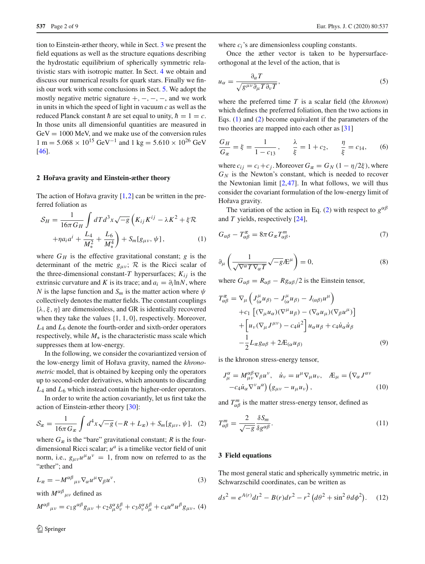tion to Einstein-æther theory, while in Sect. [3](#page-1-1) we present the field equations as well as the structure equations describing the hydrostatic equilibrium of spherically symmetric relativistic stars with isotropic matter. In Sect. [4](#page-2-0) we obtain and discuss our numerical results for quark stars. Finally we finish our work with some conclusions in Sect. [5.](#page-5-0) We adopt the mostly negative metric signature  $+, -, -, -,$  and we work in units in which the speed of light in vacuum *c* as well as the reduced Planck constant  $\hbar$  are set equal to unity,  $\hbar = 1 = c$ . In those units all dimensionful quantities are measured in  $GeV = 1000$  MeV, and we make use of the conversion rules  $1 m = 5.068 \times 10^{15} \text{ GeV}^{-1}$  and  $1 \text{ kg} = 5.610 \times 10^{26} \text{ GeV}$ [\[46](#page-7-26)].

# <span id="page-1-0"></span>**2 Hoˇrava gravity and Einstein-æther theory**

The action of Hořava gravity  $[1,2]$  $[1,2]$  $[1,2]$  can be written in the preferred foliation as

<span id="page-1-2"></span>
$$
S_H = \frac{1}{16\pi G_H} \int dT d^3x \sqrt{-g} \left( K_{ij} K^{ij} - \lambda K^2 + \xi \mathcal{R} + \eta a_i a^i + \frac{L_4}{M_*^2} + \frac{L_6}{M_*^4} \right) + S_m[g_{\mu\nu}, \psi], \tag{1}
$$

where  $G_H$  is the effective gravitational constant;  $g$  is the determinant of the metric  $g_{\mu\nu}$ ;  $R$  is the Ricci scalar of the three-dimensional constant-*T* hypersurfaces;  $K_{ij}$  is the extrinsic curvature and *K* is its trace; and  $a_i = \partial_i \ln N$ , where *N* is the lapse function and  $S_m$  is the matter action where  $\psi$ collectively denotes the matter fields. The constant couplings  $\{\lambda, \xi, \eta\}$  are dimensionless, and GR is identically recovered when they take the values {1, 1, 0}, respectively. Moreover, *L*<sup>4</sup> and *L*<sup>6</sup> denote the fourth-order and sixth-order operators respectively, while *M*<sup>∗</sup> is the characteristic mass scale which suppresses them at low-energy.

In the following, we consider the covariantized version of the low-energy limit of Hoˇrava gravity, named the *khronometric* model, that is obtained by keeping only the operators up to second-order derivatives, which amounts to discarding *L*<sup>4</sup> and *L*<sup>6</sup> which instead contain the higher-order operators.

In order to write the action covariantly, let us first take the action of Einstein-æther theory [\[30](#page-7-15)]:

<span id="page-1-3"></span>
$$
S_{\mathcal{X}} = \frac{1}{16\pi G_{\mathcal{X}}} \int d^4x \sqrt{-g} \left( -R + L_{\mathcal{X}} \right) + S_m[g_{\mu\nu}, \psi], \tag{2}
$$

where  $G_{\mathcal{R}}$  is the "bare" gravitational constant; *R* is the fourdimensional Ricci scalar; *u<sup>a</sup>* is a timelike vector field of unit norm, i.e.,  $g_{\mu\nu}u^{\mu}u^{\nu} = 1$ , from now on referred to as the "æther"; and

$$
L_{\mathcal{X}} = -M^{\alpha\beta}{}_{\mu\nu}\nabla_{\alpha}u^{\mu}\nabla_{\beta}u^{\nu},\tag{3}
$$

with  $M^{\alpha\beta}{}_{\mu\nu}$  defined as

$$
M^{\alpha\beta}{}_{\mu\nu} = c_1 g^{\alpha\beta} g_{\mu\nu} + c_2 \delta^\alpha_\mu \delta^\beta_\nu + c_3 \delta^\alpha_\nu \delta^\beta_\mu + c_4 u^\alpha u^\beta g_{\mu\nu}, \tag{4}
$$

where  $c_i$ 's are dimensionless coupling constants.

Once the æther vector is taken to be hypersurfaceorthogonal at the level of the action, that is

$$
u_{\alpha} = \frac{\partial_{\alpha} T}{\sqrt{g^{\mu \nu} \partial_{\mu} T \partial_{\nu} T}},
$$
\n(5)

where the preferred time *T* is a scalar field (the *khronon*) which defines the preferred foliation, then the two actions in Eqs. [\(1\)](#page-1-2) and [\(2\)](#page-1-3) become equivalent if the parameters of the two theories are mapped into each other as [\[31\]](#page-7-16)

$$
\frac{G_H}{G_{\mathfrak{X}}} = \xi = \frac{1}{1 - c_{13}}, \qquad \frac{\lambda}{\xi} = 1 + c_2, \qquad \frac{\eta}{\xi} = c_{14}, \qquad (6)
$$

where  $c_{ij} = c_i + c_j$ . Moreover  $G_{\mathcal{R}} = G_N (1 - \eta/2\xi)$ , where  $G_N$  is the Newton's constant, which is needed to recover the Newtonian limit  $[2,47]$  $[2,47]$  $[2,47]$ . In what follows, we will thus consider the covariant formulation of the low-energy limit of Hořava gravity.

The variation of the action in Eq. [\(2\)](#page-1-3) with respect to  $g^{\alpha\beta}$ and *T* yields, respectively [\[24](#page-7-10)],

<span id="page-1-4"></span>
$$
G_{\alpha\beta} - T_{\alpha\beta}^{\mathcal{X}} = 8\pi G_{\mathcal{X}} T_{\alpha\beta}^m,\tag{7}
$$

<span id="page-1-5"></span>
$$
\partial_{\mu} \left( \frac{1}{\sqrt{\nabla^{\alpha} T \nabla_{\alpha} T}} \sqrt{-g} \mathcal{L}^{\mu} \right) = 0, \tag{8}
$$

where  $G_{\alpha\beta} = R_{\alpha\beta} - R_{\beta\alpha\beta}/2$  is the Einstein tensor,

$$
T_{\alpha\beta}^{\mathcal{X}} = \nabla_{\mu} \left( J_{(\alpha}^{\mu} u_{\beta)} - J_{(\alpha\beta)}^{\mu} u_{\beta} - J_{(\alpha\beta)} u^{\mu} \right) + c_1 \left[ (\nabla_{\mu} u_{\alpha}) (\nabla^{\mu} u_{\beta}) - (\nabla_{\alpha} u_{\mu}) (\nabla_{\beta} u^{\mu}) \right] + \left[ u_{\nu} (\nabla_{\mu} J^{\mu \nu}) - c_4 \dot{u}^2 \right] u_{\alpha} u_{\beta} + c_4 \dot{u}_{\alpha} \dot{u}_{\beta} -\frac{1}{2} L_{\mathcal{X}} g_{\alpha\beta} + 2 \mathcal{A}_{(\alpha} u_{\beta)}
$$
(9)

is the khronon stress-energy tensor,

$$
J_{\mu}^{\alpha} = M_{\mu\nu}^{\alpha\beta} \nabla_{\beta} u^{\nu}, \quad \dot{u}_{\nu} = u^{\mu} \nabla_{\mu} u_{\nu}, \quad \mathcal{A}_{\mu} = (\nabla_{\alpha} J^{\alpha\nu}) - c_4 \dot{u}_{\alpha} \nabla^{\nu} u^{\alpha}) \left( g_{\mu\nu} - u_{\mu} u_{\nu} \right), \tag{10}
$$

and  $T_{\alpha\beta}^m$  is the matter stress-energy tensor, defined as

$$
T_{\alpha\beta}^m = \frac{2}{\sqrt{-g}} \frac{\delta S_m}{\delta g^{\alpha\beta}}.
$$
\n(11)

## <span id="page-1-1"></span>**3 Field equations**

The most general static and spherically symmetric metric, in Schwarzschild coordinates, can be written as

$$
ds^{2} = e^{A(r)}dt^{2} - B(r)dr^{2} - r^{2}(d\theta^{2} + \sin^{2}\theta d\phi^{2}).
$$
 (12)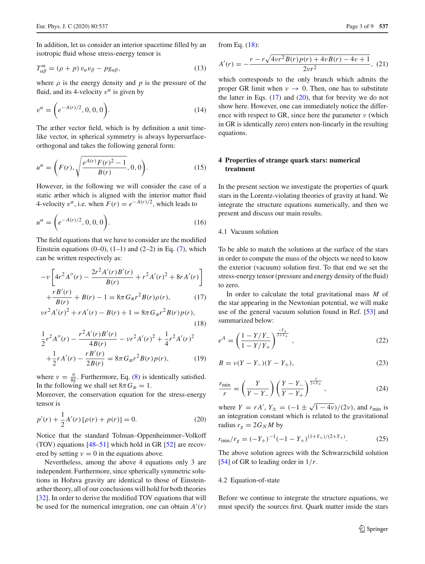In addition, let us consider an interior spacetime filled by an isotropic fluid whose stress-energy tensor is

$$
T_{\alpha\beta}^{m} = (\rho + p) v_{\alpha} v_{\beta} - p g_{\alpha\beta}, \qquad (13)
$$

where  $\rho$  is the energy density and  $p$  is the pressure of the fluid, and its 4-velocity  $v^{\alpha}$  is given by

$$
v^{\alpha} = \left(e^{-A(r)/2}, 0, 0, 0\right).
$$
 (14)

The æther vector field, which is by definition a unit timelike vector, in spherical symmetry is always hypersurfaceorthogonal and takes the following general form:

$$
u^{\alpha} = \left(F(r), \sqrt{\frac{e^{A(r)} F(r)^2 - 1}{B(r)}}, 0, 0\right).
$$
 (15)

However, in the following we will consider the case of a static æther which is aligned with the interior matter fluid 4-velocity  $v^{\alpha}$ , i.e. when  $F(r) = e^{-A(r)/2}$ , which leads to

$$
u^{\alpha} = \left(e^{-A(r)/2}, 0, 0, 0\right).
$$
 (16)

The field equations that we have to consider are the modified Einstein equations  $(0-0)$ ,  $(1-1)$  and  $(2-2)$  in Eq.  $(7)$ , which can be written respectively as:

<span id="page-2-1"></span>
$$
-v\left[4r^{2}A''(r) - \frac{2r^{2}A'(r)B'(r)}{B(r)} + r^{2}A'(r)^{2} + 8rA'(r)\right] + \frac{rB'(r)}{B(r)} + B(r) - 1 = 8\pi G_{\mathcal{X}}r^{2}B(r)\rho(r), \qquad (17)
$$

$$
B(r) \qquad \qquad \alpha \qquad \beta(r) \qquad \beta(r) + 1 = 8\pi G_{\mathfrak{B}} r^2 B(r) p(r),
$$

$$
\frac{1}{2}r^{2}A''(r) - \frac{r^{2}A'(r)B'(r)}{4B(r)} - \nu r^{2}A'(r)^{2} + \frac{1}{4}r^{2}A'(r)^{2}
$$

$$
+\frac{1}{2}rA'(r) - \frac{rB'(r)}{2B(r)} = 8\pi G_{\mathcal{R}}r^{2}B(r)p(r), \qquad (19)
$$

where  $v = \frac{\eta}{8\xi}$ . Furthermore, Eq. [\(8\)](#page-1-5) is identically satisfied. In the following we shall set  $8\pi G_{\mathfrak{E}} = 1$ .

Moreover, the conservation equation for the stress-energy tensor is

<span id="page-2-2"></span>
$$
p'(r) + \frac{1}{2}A'(r)\left[\rho(r) + p(r)\right] = 0.
$$
 (20)

Notice that the standard Tolman–Oppenheimmer–Volkoff (TOV) equations  $[48-51]$  $[48-51]$  which hold in GR  $[52]$  are recovered by setting  $v = 0$  in the equations above.

Nevertheless, among the above 4 equations only 3 are independent. Furthermore, since spherically symmetric solutions in Hořava gravity are identical to those of Einsteinæther theory, all of our conclusions will hold for both theories [\[32](#page-7-17)]. In order to derive the modified TOV equations that will be used for the numerical integration, one can obtain  $A'(r)$ 

from Eq. [\(18\)](#page-2-1):

$$
A'(r) = -\frac{r - r\sqrt{4vr^2B(r)p(r) + 4vB(r) - 4v + 1}}{2vr^2},
$$
 (21)

which corresponds to the only branch which admits the proper GR limit when  $\nu \rightarrow 0$ . Then, one has to substitute the latter in Eqs.  $(17)$  and  $(20)$ , that for brevity we do not show here. However, one can immediately notice the difference with respect to GR, since here the parameter  $\nu$  (which in GR is identically zero) enters non-linearly in the resulting equations.

# <span id="page-2-0"></span>**4 Properties of strange quark stars: numerical treatment**

In the present section we investigate the properties of quark stars in the Lorentz-violating theories of gravity at hand. We integrate the structure equations numerically, and then we present and discuss our main results.

# 4.1 Vacuum solution

(18)

To be able to match the solutions at the surface of the stars in order to compute the mass of the objects we need to know the exterior (vacuum) solution first. To that end we set the stress-energy tensor (pressure and energy density of the fluid) to zero.

In order to calculate the total gravitational mass *M* of the star appearing in the Newtonian potential, we will make use of the general vacuum solution found in Ref. [\[53](#page-7-31)] and summarized below:

$$
e^{A} = \left(\frac{1 - Y/Y_{-}}{1 - Y/Y_{+}}\right)^{\frac{-Y_{+}}{2+Y_{+}}},
$$
\n(22)

$$
B = \nu(Y - Y_{-})(Y - Y_{+}),
$$
\n(23)

$$
\frac{r_{\min}}{r} = \left(\frac{Y}{Y - Y_{-}}\right) \left(\frac{Y - Y_{-}}{Y - Y_{+}}\right)^{\frac{1}{2 + Y_{+}}},\tag{24}
$$

where  $Y = rA'$ ,  $Y_{\pm} = (-1 \pm \sqrt{1 - 4\nu})/(2\nu)$ , and  $r_{\min}$  is an integration constant which is related to the gravitational radius  $r_g = 2G_N M$  by

$$
r_{\min}/r_g = (-Y_+)^{-1}(-1 - Y_+)^{(1+Y_+)/(2+Y_+)}.
$$
 (25)

The above solution agrees with the Schwarzschild solution [\[54](#page-7-32)] of GR to leading order in 1/*r*.

#### 4.2 Equation-of-state

Before we continue to integrate the structure equations, we must specify the sources first. Quark matter inside the stars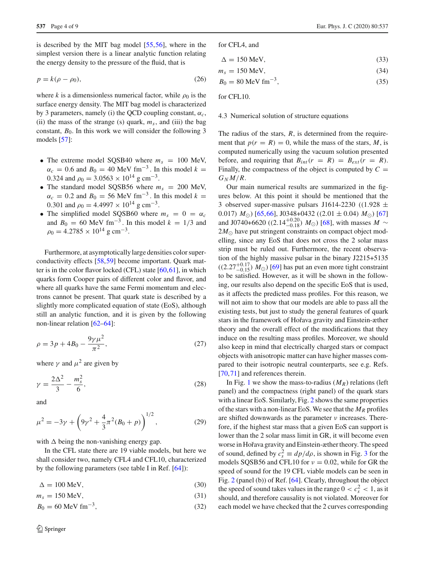is described by the MIT bag model [\[55,](#page-7-33)[56\]](#page-7-34), where in the simplest version there is a linear analytic function relating the energy density to the pressure of the fluid, that is

$$
p = k(\rho - \rho_0),\tag{26}
$$

where *k* is a dimensionless numerical factor, while  $\rho_0$  is the surface energy density. The MIT bag model is characterized by 3 parameters, namely (i) the QCD coupling constant,  $\alpha_c$ , (ii) the mass of the strange (s) quark,  $m<sub>s</sub>$ , and (iii) the bag constant,  $B_0$ . In this work we will consider the following 3 models [\[57\]](#page-7-35):

- The extreme model SQSB40 where  $m_s = 100$  MeV,  $\alpha_c = 0.6$  and  $B_0 = 40$  MeV fm<sup>-3</sup>. In this model  $k =$ 0.324 and  $\rho_0 = 3.0563 \times 10^{14}$  g cm<sup>-3</sup>.
- The standard model SQSB56 where  $m_s = 200$  MeV,  $\alpha_c = 0.2$  and  $B_0 = 56$  MeV fm<sup>-3</sup>. In this model  $k =$ 0.301 and  $\rho_0 = 4.4997 \times 10^{14}$  g cm<sup>-3</sup>.
- The simplified model SQSB60 where  $m_s = 0 = \alpha_c$ and  $B_0 = 60 \text{ MeV fm}^{-3}$ . In this model  $k = 1/3$  and  $\rho_0 = 4.2785 \times 10^{14}$  g cm<sup>-3</sup>.

Furthermore, at asymptotically large densities color superconductivity effects [\[58](#page-7-36)[,59](#page-7-37)] become important. Quark matter is in the color flavor locked (CFL) state [\[60,](#page-7-38)[61\]](#page-7-39), in which quarks form Cooper pairs of different color and flavor, and where all quarks have the same Fermi momentum and electrons cannot be present. That quark state is described by a slightly more complicated equation of state (EoS), although still an analytic function, and it is given by the following non-linear relation [\[62](#page-7-40)[–64\]](#page-7-41):

$$
\rho = 3p + 4B_0 - \frac{9\gamma \mu^2}{\pi^2},\tag{27}
$$

where  $\gamma$  and  $\mu^2$  are given by

$$
\gamma = \frac{2\Delta^2}{3} - \frac{m_s^2}{6},\tag{28}
$$

and

$$
\mu^2 = -3\gamma + \left(9\gamma^2 + \frac{4}{3}\pi^2(B_0 + p)\right)^{1/2},\tag{29}
$$

with  $\Delta$  being the non-vanishing energy gap.

In the CFL state there are 19 viable models, but here we shall consider two, namely CFL4 and CFL10, characterized by the following parameters (see table I in Ref. [\[64](#page-7-41)]):

 $\Delta = 100$  MeV, (30)

$$
m_s = 150 \text{ MeV},\tag{31}
$$

$$
B_0 = 60 \text{ MeV fm}^{-3},\tag{32}
$$

for CFL4, and

$$
\Delta = 150 \text{ MeV},\tag{33}
$$

$$
m_s = 150 \text{ MeV},\tag{34}
$$

$$
B_0 = 80 \text{ MeV fm}^{-3},\tag{35}
$$

for CFL10.

#### 4.3 Numerical solution of structure equations

The radius of the stars, *R*, is determined from the requirement that  $p(r = R) = 0$ , while the mass of the stars, *M*, is computed numerically using the vacuum solution presented before, and requiring that  $B_{int}(r = R) = B_{ext}(r = R)$ . Finally, the compactness of the object is computed by  $C =$  $G_N M/R$ .

Our main numerical results are summarized in the figures below. At this point it should be mentioned that the 3 observed super-massive pulsars J1614-2230 ((1.928  $\pm$ 0.017)  $M_{\odot}$ ) [\[65](#page-7-42),[66\]](#page-7-43), J0348+0432 ((2.01  $\pm$  0.04)  $M_{\odot}$ ) [\[67\]](#page-7-44) and J0740+6620 ((2.14<sup>+0.20</sup>) *M*<sub>○</sub>) [\[68](#page-7-45)], with masses *M* ~  $2M_{\odot}$  have put stringent constraints on compact object modelling, since any EoS that does not cross the 2 solar mass strip must be ruled out. Furthermore, the recent observation of the highly massive pulsar in the binary J2215+5135  $((2.27^{+0.17}_{-0.15}) M_{\odot})$  [\[69\]](#page-7-46) has put an even more tight constraint to be satisfied. However, as it will be shown in the following, our results also depend on the specific EoS that is used, as it affects the predicted mass profiles. For this reason, we will not aim to show that our models are able to pass all the existing tests, but just to study the general features of quark stars in the framework of Hoˇrava gravity and Einstein-æther theory and the overall effect of the modifications that they induce on the resulting mass profiles. Moreover, we should also keep in mind that electrically charged stars or compact objects with anisotropic matter can have higher masses compared to their isotropic neutral counterparts, see e.g. Refs. [\[70](#page-8-0),[71\]](#page-8-1) and references therein.

In Fig. [1](#page-4-0) we show the mass-to-radius  $(M_R)$  relations (left panel) and the compactness (right panel) of the quark stars with a linear EoS. Similarly, Fig. [2](#page-4-1) shows the same properties of the stars with a non-linear EoS. We see that the  $M_R$  profiles are shifted downwards as the parameter  $\nu$  increases. Therefore, if the highest star mass that a given EoS can support is lower than the 2 solar mass limit in GR, it will become even worse in Hořava gravity and Einstein-æther theory. The speed of sound, defined by  $c_s^2 \equiv dp/d\rho$ , is shown in Fig. [3](#page-4-2) for the models SOSB56 and CFL10 for  $v = 0.02$ , while for GR the speed of sound for the 19 CFL viable models can be seen in Fig. [2](#page-4-1) (panel (b)) of Ref. [\[64](#page-7-41)]. Clearly, throughout the object the speed of sound takes values in the range  $0 < c_s^2 < 1$ , as it should, and therefore causality is not violated. Moreover for each model we have checked that the 2 curves corresponding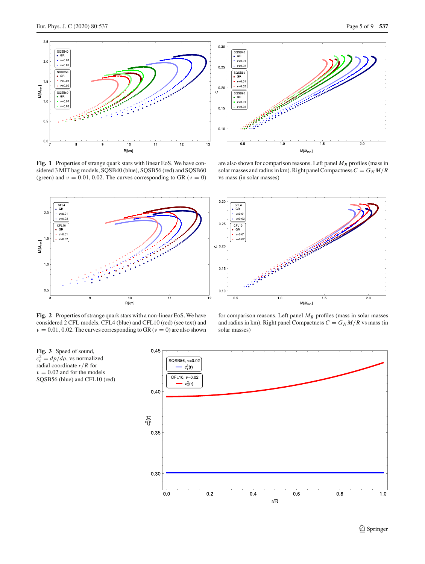

<span id="page-4-0"></span>**Fig. 1** Properties of strange quark stars with linear EoS. We have considered 3 MIT bag models, SQSB40 (blue), SQSB56 (red) and SQSB60 (green) and  $v = 0.01, 0.02$ . The curves corresponding to GR ( $v = 0$ )



<span id="page-4-1"></span>**Fig. 2** Properties of strange quark stars with a non-linear EoS. We have considered 2 CFL models, CFL4 (blue) and CFL10 (red) (see text) and  $\nu = 0.01, 0.02$ . The curves corresponding to GR ( $\nu = 0$ ) are also shown

are also shown for comparison reasons. Left panel  $M_R$  profiles (mass in solar masses and radius in km). Right panel Compactness  $C = G<sub>N</sub> M/R$ vs mass (in solar masses)



for comparison reasons. Left panel  $M_R$  profiles (mass in solar masses and radius in km). Right panel Compactness  $C = G<sub>N</sub> M/R$  vs mass (in solar masses)

<span id="page-4-2"></span>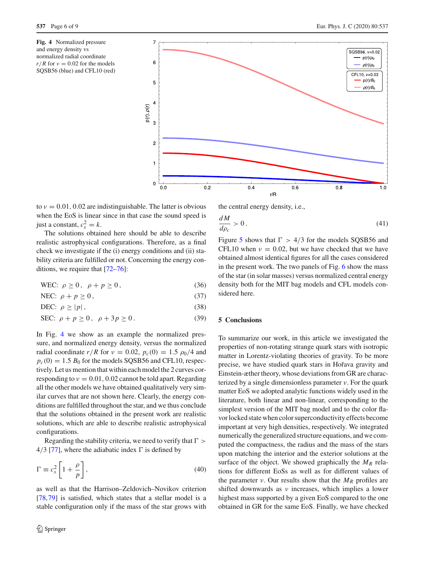<span id="page-5-1"></span>



to  $v = 0.01, 0.02$  are indistinguishable. The latter is obvious when the EoS is linear since in that case the sound speed is just a constant,  $c_s^2 = k$ .

The solutions obtained here should be able to describe realistic astrophysical configurations. Therefore, as a final check we investigate if the (i) energy conditions and (ii) stability criteria are fulfilled or not. Concerning the energy conditions, we require that [\[72](#page-8-2)[–76\]](#page-8-3):

WEC:  $\rho > 0$ ,  $\rho + p > 0$ , (36)

NEC:  $\rho + p \ge 0$ , (37)

DEC:  $ρ ≥ |p|$ , (38)

SEC:  $\rho + p \ge 0$ ,  $\rho + 3p \ge 0$ . (39)

In Fig. [4](#page-5-1) we show as an example the normalized pressure, and normalized energy density, versus the normalized radial coordinate  $r/R$  for  $v = 0.02$ ,  $p_c(0) = 1.5 \rho_0/4$  and  $p_c(0) = 1.5 B_0$  for the models SQSB56 and CFL10, respectively. Let us mention that within each model the 2 curves corresponding to  $v = 0.01$ , 0.02 cannot be told apart. Regarding all the other models we have obtained qualitatively very similar curves that are not shown here. Clearly, the energy conditions are fulfilled throughout the star, and we thus conclude that the solutions obtained in the present work are realistic solutions, which are able to describe realistic astrophysical configurations.

Regarding the stability criteria, we need to verify that  $\Gamma >$ 4/3 [\[77](#page-8-4)], where the adiabatic index  $\Gamma$  is defined by

$$
\Gamma \equiv c_s^2 \left[ 1 + \frac{\rho}{p} \right],\tag{40}
$$

as well as that the Harrison–Zeldovich–Novikov criterion [\[78](#page-8-5),[79\]](#page-8-6) is satisfied, which states that a stellar model is a stable configuration only if the mass of the star grows with the central energy density, i.e.,

$$
\frac{dM}{d\rho_c} > 0. \tag{41}
$$

Figure [5](#page-6-1) shows that  $\Gamma > 4/3$  for the models SQSB56 and CFL10 when  $v = 0.02$ , but we have checked that we have obtained almost identical figures for all the cases considered in the present work. The two panels of Fig. [6](#page-6-2) show the mass of the star (in solar masses) versus normalized central energy density both for the MIT bag models and CFL models considered here.

# <span id="page-5-0"></span>**5 Conclusions**

To summarize our work, in this article we investigated the properties of non-rotating strange quark stars with isotropic matter in Lorentz-violating theories of gravity. To be more precise, we have studied quark stars in Hořava gravity and Einstein-æther theory, whose deviations from GR are characterized by a single dimensionless parameter  $\nu$ . For the quark matter EoS we adopted analytic functions widely used in the literature, both linear and non-linear, corresponding to the simplest version of the MIT bag model and to the color flavor locked state when color superconductivity effects become important at very high densities, respectively. We integrated numerically the generalized structure equations, and we computed the compactness, the radius and the mass of the stars upon matching the interior and the exterior solutions at the surface of the object. We showed graphically the  $M_R$  relations for different EoSs as well as for different values of the parameter *v*. Our results show that the  $M_R$  profiles are shifted downwards as  $\nu$  increases, which implies a lower highest mass supported by a given EoS compared to the one obtained in GR for the same EoS. Finally, we have checked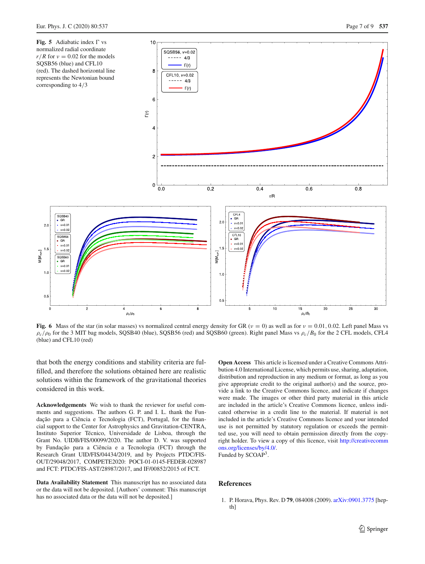<span id="page-6-1"></span>

<span id="page-6-2"></span>**Fig. 6** Mass of the star (in solar masses) vs normalized central energy density for GR ( $v = 0$ ) as well as for  $v = 0.01$ , 0.02. Left panel Mass vs  $\rho_c/\rho_0$  for the 3 MIT bag models, SQSB40 (blue), SQSB56 (red) and SQSB60 (green). Right panel Mass vs  $\rho_c/B_0$  for the 2 CFL models, CFL4 (blue) and CFL10 (red)

that both the energy conditions and stability criteria are fulfilled, and therefore the solutions obtained here are realistic solutions within the framework of the gravitational theories considered in this work.

**Acknowledgements** We wish to thank the reviewer for useful comments and suggestions. The authors G. P. and I. L. thank the Fundação para a Ciência e Tecnologia (FCT), Portugal, for the financial support to the Center for Astrophysics and Gravitation-CENTRA, Instituto Superior Técnico, Universidade de Lisboa, through the Grant No. UIDB/FIS/00099/2020. The author D. V. was supported by Fundação para a Ciência e a Tecnologia (FCT) through the Research Grant UID/FIS/04434/2019, and by Projects PTDC/FIS-OUT/29048/2017, COMPETE2020: POCI-01-0145-FEDER-028987 and FCT: PTDC/FIS-AST/28987/2017, and IF/00852/2015 of FCT.

**Data Availability Statement** This manuscript has no associated data or the data will not be deposited. [Authors' comment: This manuscript has no associated data or the data will not be deposited.]

**Open Access** This article is licensed under a Creative Commons Attribution 4.0 International License, which permits use, sharing, adaptation, distribution and reproduction in any medium or format, as long as you give appropriate credit to the original author(s) and the source, provide a link to the Creative Commons licence, and indicate if changes were made. The images or other third party material in this article are included in the article's Creative Commons licence, unless indicated otherwise in a credit line to the material. If material is not included in the article's Creative Commons licence and your intended use is not permitted by statutory regulation or exceeds the permitted use, you will need to obtain permission directly from the copyright holder. To view a copy of this licence, visit [http://creativecomm](http://creativecommons.org/licenses/by/4.0/) [ons.org/licenses/by/4.0/.](http://creativecommons.org/licenses/by/4.0/)

Funded by SCOAP3.

## **References**

<span id="page-6-0"></span>1. P. Horava, Phys. Rev. D **79**, 084008 (2009). [arXiv:0901.3775](http://arxiv.org/abs/0901.3775) [hepth<sub>1</sub>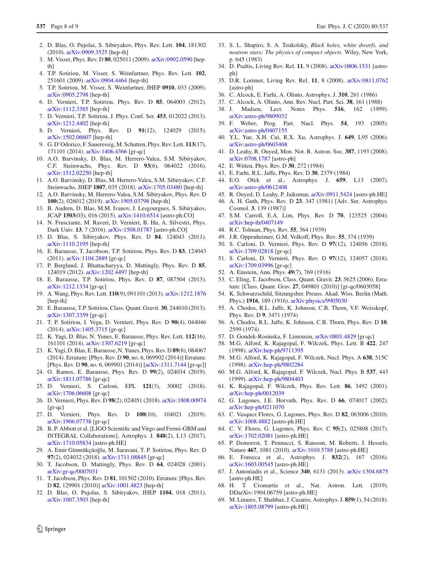- <span id="page-7-0"></span>2. D. Blas, O. Pujolas, S. Sibiryakov, Phys. Rev. Lett. **104**, 181302 (2010). [arXiv:0909.3525](http://arxiv.org/abs/0909.3525) [hep-th]
- <span id="page-7-1"></span>3. M. Visser, Phys. Rev. D **80**, 025011 (2009). [arXiv:0902.0590](http://arxiv.org/abs/0902.0590) [hepth<sub>1</sub>
- 4. T.P. Sotiriou, M. Visser, S. Weinfurtner, Phys. Rev. Lett. **102**, 251601 (2009). [arXiv:0904.4464](http://arxiv.org/abs/0904.4464) [hep-th]
- 5. T.P. Sotiriou, M. Visser, S. Weinfurtner, JHEP **0910**, 033 (2009). [arXiv:0905.2798](http://arxiv.org/abs/0905.2798) [hep-th]
- 6. D. Vernieri, T.P. Sotiriou, Phys. Rev. D **85**, 064003 (2012). [arXiv:1112.3385](http://arxiv.org/abs/1112.3385) [hep-th]
- 7. D. Vernieri, T.P. Sotiriou, J. Phys. Conf. Ser. **453**, 012022 (2013). [arXiv:1212.4402](http://arxiv.org/abs/1212.4402) [hep-th]
- <span id="page-7-2"></span>8. D. Vernieri, Phys. Rev. D **91**(12), 124029 (2015). [arXiv:1502.06607](http://arxiv.org/abs/1502.06607) [hep-th]
- <span id="page-7-3"></span>9. G. D'Odorico, F. Saueressig, M. Schutten, Phys. Rev. Lett. **113**(17), 171101 (2014). [arXiv:1406.4366](http://arxiv.org/abs/1406.4366) [gr-qc]
- 10. A.O. Barvinsky, D. Blas, M. Herrero-Valea, S.M. Sibiryakov, C.F. Steinwachs, Phys. Rev. D **93**(6), 064022 (2016). [arXiv:1512.02250](http://arxiv.org/abs/1512.02250) [hep-th]
- 11. A.O. Barvinsky, D. Blas, M. Herrero-Valea, S.M. Sibiryakov, C.F. Steinwachs, JHEP **1807**, 035 (2018). [arXiv:1705.03480](http://arxiv.org/abs/1705.03480) [hep-th]
- <span id="page-7-4"></span>12. A.O. Barvinsky, M. Herrero-Valea, S.M. Sibiryakov, Phys. Rev. D **100**(2), 026012 (2019). [arXiv:1905.03798](http://arxiv.org/abs/1905.03798) [hep-th]
- <span id="page-7-5"></span>13. B. Audren, D. Blas, M.M. Ivanov, J. Lesgourgues, S. Sibiryakov, JCAP **1503**(03), 016 (2015). [arXiv:1410.6514](http://arxiv.org/abs/1410.6514) [astro-ph.CO]
- <span id="page-7-6"></span>14. N. Frusciante, M. Raveri, D. Vernieri, B. Hu, A. Silvestri, Phys. Dark Univ. **13**, 7 (2016). [arXiv:1508.01787](http://arxiv.org/abs/1508.01787) [astro-ph.CO]
- <span id="page-7-7"></span>15. D. Blas, S. Sibiryakov, Phys. Rev. D **84**, 124043 (2011). [arXiv:1110.2195](http://arxiv.org/abs/1110.2195) [hep-th]
- 16. E. Barausse, T. Jacobson, T.P. Sotiriou, Phys. Rev. D **83**, 124043 (2011). [arXiv:1104.2889](http://arxiv.org/abs/1104.2889) [gr-qc]
- 17. P. Berglund, J. Bhattacharyya, D. Mattingly, Phys. Rev. D **85**, 124019 (2012). [arXiv:1202.4497](http://arxiv.org/abs/1202.4497) [hep-th]
- 18. E. Barausse, T.P. Sotiriou, Phys. Rev. D **87**, 087504 (2013). [arXiv:1212.1334](http://arxiv.org/abs/1212.1334) [gr-qc]
- 19. A. Wang, Phys. Rev. Lett. **110**(9), 091101 (2013). [arXiv:1212.1876](http://arxiv.org/abs/1212.1876) [hep-th]
- 20. E. Barausse, T.P. Sotiriou, Class. Quant. Gravit. **30**, 244010 (2013). [arXiv:1307.3359](http://arxiv.org/abs/1307.3359) [gr-qc]
- <span id="page-7-8"></span>21. T. P. Sotiriou, I. Vega, D. Vernieri, Phys. Rev. D **90**(4), 044046 (2014). [arXiv:1405.3715](http://arxiv.org/abs/1405.3715) [gr-qc]
- <span id="page-7-9"></span>22. K. Yagi, D. Blas, N. Yunes, E. Barausse, Phys. Rev. Lett. **112**(16), 161101 (2014). [arXiv:1307.6219](http://arxiv.org/abs/1307.6219) [gr-qc]
- 23. K. Yagi, D. Blas, E. Barausse, N. Yunes, Phys. Rev. D **89**(8), 084067 (2014). Erratum: [Phys. Rev. D **90**, no. 6, 069902 (2014)] Erratum: [Phys. Rev. D **90**, no. 6, 069901 (2014)] [\[arXiv:1311.7144](http://arxiv.org/abs/1311.7144) [gr-qc]]
- <span id="page-7-10"></span>24. O. Ramos, E. Barausse, Phys. Rev. D **99**(2), 024034 (2019). [arXiv:1811.07786](http://arxiv.org/abs/1811.07786) [gr-qc]
- <span id="page-7-11"></span>25. D. Vernieri, S. Carloni, EPL **121**(3), 30002 (2018). [arXiv:1706.06608](http://arxiv.org/abs/1706.06608) [gr-qc]
- 26. D. Vernieri, Phys. Rev. D **98**(2), 024051 (2018). [arXiv:1808.00974](http://arxiv.org/abs/1808.00974) [gr-qc]
- <span id="page-7-12"></span>27. D. Vernieri, Phys. Rev. D **100**(10), 104021 (2019). [arXiv:1906.07738](http://arxiv.org/abs/1906.07738) [gr-qc]
- <span id="page-7-13"></span>28. B. P. Abbott et al. [LIGO Scientific and Virgo and Fermi-GBM and INTEGRAL Collaborations], Astrophys. J. **848**(2), L13 (2017). [arXiv:1710.05834](http://arxiv.org/abs/1710.05834) [astro-ph.HE]
- <span id="page-7-14"></span>29. A. Emir Gümrükçüoğlu, M. Saravani, T. P. Sotiriou, Phys. Rev. D **97**(2), 024032 (2018). [arXiv:1711.08845](http://arxiv.org/abs/1711.08845) [gr-qc]
- <span id="page-7-15"></span>30. T. Jacobson, D. Mattingly, Phys. Rev. D **64**, 024028 (2001). [arXiv:gr-qc/0007031](http://arxiv.org/abs/gr-qc/0007031)
- <span id="page-7-16"></span>31. T. Jacobson, Phys. Rev. D **81**, 101502 (2010). Erratum: [Phys. Rev. D **82**, 129901 (2010)] [arXiv:1001.4823](http://arxiv.org/abs/1001.4823) [hep-th]
- <span id="page-7-17"></span>32. D. Blas, O. Pujolas, S. Sibiryakov, JHEP **1104**, 018 (2011). [arXiv:1007.3503](http://arxiv.org/abs/1007.3503) [hep-th]
- <span id="page-7-18"></span>33. S. L. Shapiro, S. A. Teukolsky, *Black holes, white dwarfs, and neutron stars: The physics of compact objects*. Wiley, New York, p. 645 (1983)
- 34. D. Psaltis, Living Rev. Rel. **11**, 9 (2008). [arXiv:0806.1531](http://arxiv.org/abs/0806.1531) [astroph]
- <span id="page-7-19"></span>35. D.R. Lorimer, Living Rev. Rel. **11**, 8 (2008). [arXiv:0811.0762](http://arxiv.org/abs/0811.0762) [astro-ph]
- <span id="page-7-20"></span>36. C. Alcock, E. Farhi, A. Olinto, Astrophys. J. **310**, 261 (1986)
- 37. C. Alcock, A. Olinto, Ann. Rev. Nucl. Part. Sci. **38**, 161 (1988)
- 38. J. Madsen, Lect. Notes Phys. **516**, 162 (1999). [arXiv:astro-ph/9809032](http://arxiv.org/abs/astro-ph/9809032)
- 39. F. Weber, Prog. Part. Nucl. Phys. **54**, 193 (2005). [arXiv:astro-ph/0407155](http://arxiv.org/abs/astro-ph/0407155)
- 40. Y.L. Yue, X.H. Cui, R.X. Xu, Astrophys. J. **649**, L95 (2006). [arXiv:astro-ph/0603468](http://arxiv.org/abs/astro-ph/0603468)
- <span id="page-7-21"></span>41. D. Leahy, R. Ouyed, Mon. Not. R. Astron. Soc. **387**, 1193 (2008). [arXiv:0708.1787](http://arxiv.org/abs/0708.1787) [astro-ph]
- <span id="page-7-22"></span>42. E. Witten, Phys. Rev. D **30**, 272 (1984)
- <span id="page-7-23"></span>43. E. Farhi, R.L. Jaffe, Phys. Rev. D **30**, 2379 (1984)
- <span id="page-7-24"></span>44. E.O. Ofek et al., Astrophys. J. **659**, L13 (2007). [arXiv:astro-ph/0612408](http://arxiv.org/abs/astro-ph/0612408)
- <span id="page-7-25"></span>45. R. Ouyed, D. Leahy, P. Jaikumar, [arXiv:0911.5424](http://arxiv.org/abs/0911.5424) [astro-ph.HE]
- <span id="page-7-26"></span>46. A. H. Guth, Phys. Rev. D **23**, 347 (1981) [Adv. Ser. Astrophys. Cosmol. **3**, 139 (1987)]
- <span id="page-7-27"></span>47. S.M. Carroll, E.A. Lim, Phys. Rev. D **70**, 123525 (2004). [arXiv:hep-th/0407149](http://arxiv.org/abs/hep-th/0407149)
- <span id="page-7-28"></span>48. R.C. Tolman, Phys. Rev. **55**, 364 (1939)
- 49. J.R. Oppenheimer, G.M. Volkoff, Phys. Rev. **55**, 374 (1939)
- 50. S. Carloni, D. Vernieri, Phys. Rev. D **97**(12), 124056 (2018). [arXiv:1709.02818](http://arxiv.org/abs/1709.02818) [gr-qc]
- <span id="page-7-29"></span>51. S. Carloni, D. Vernieri, Phys. Rev. D **97**(12), 124057 (2018). [arXiv:1709.03996](http://arxiv.org/abs/1709.03996) [gr-qc]
- <span id="page-7-30"></span>52. A. Einstein, Ann. Phys. **49**(7), 769 (1916)
- <span id="page-7-31"></span>53. C. Eling, T. Jacobson, Class. Quant. Gravit. **23**, 5625 (2006). Erratum: [Class. Quant. Grav. **27**, 049801 (2010)] [gr-qc/0603058]
- <span id="page-7-32"></span>54. K. Schwarzschild, Sitzungsber. Preuss. Akad. Wiss. Berlin (Math. Phys.) **1916**, 189 (1916). [arXiv:physics/9905030](http://arxiv.org/abs/physics/9905030)
- <span id="page-7-33"></span>55. A. Chodos, R.L. Jaffe, K. Johnson, C.B. Thorn, V.F. Weisskopf, Phys. Rev. D **9**, 3471 (1974)
- <span id="page-7-34"></span>56. A. Chodos, R.L. Jaffe, K. Johnson, C.B. Thorn, Phys. Rev. D **10**, 2599 (1974)
- <span id="page-7-35"></span>57. D. Gondek-Rosinska, F. Limousin, [arXiv:0801.4829](http://arxiv.org/abs/0801.4829) [gr-qc]
- <span id="page-7-36"></span>58. M.G. Alford, K. Rajagopal, F. Wilczek, Phys. Lett. B **422**, 247 (1998). [arXiv:hep-ph/9711395](http://arxiv.org/abs/hep-ph/9711395)
- <span id="page-7-37"></span>59. M.G. Alford, K. Rajagopal, F. Wilczek, Nucl. Phys. A **638**, 515C (1998). [arXiv:hep-ph/9802284](http://arxiv.org/abs/hep-ph/9802284)
- <span id="page-7-38"></span>60. M.G. Alford, K. Rajagopal, F. Wilczek, Nucl. Phys. B **537**, 443 (1999). [arXiv:hep-ph/9804403](http://arxiv.org/abs/hep-ph/9804403)
- <span id="page-7-39"></span>61. K. Rajagopal, F. Wilczek, Phys. Rev. Lett. **86**, 3492 (2001). [arXiv:hep-ph/0012039](http://arxiv.org/abs/hep-ph/0012039)
- <span id="page-7-40"></span>62. G. Lugones, J.E. Horvath, Phys. Rev. D **66**, 074017 (2002). [arXiv:hep-ph/0211070](http://arxiv.org/abs/hep-ph/0211070)
- 63. C. Vasquez Flores, G. Lugones, Phys. Rev. D **82**, 063006 (2010). [arXiv:1008.4882](http://arxiv.org/abs/1008.4882) [astro-ph.HE]
- <span id="page-7-41"></span>64. C. V. Flores, G. Lugones, Phys. Rev. C **95**(2), 025808 (2017). [arXiv:1702.02081](http://arxiv.org/abs/1702.02081) [astro-ph.HE]
- <span id="page-7-42"></span>65. P. Demorest, T. Pennucci, S. Ransom, M. Roberts, J. Hessels, Nature **467**, 1081 (2010). [arXiv:1010.5788](http://arxiv.org/abs/1010.5788) [astro-ph.HE]
- <span id="page-7-43"></span>66. E. Fonseca et al., Astrophys. J. **832**(2), 167 (2016). [arXiv:1603.00545](http://arxiv.org/abs/1603.00545) [astro-ph.HE]
- <span id="page-7-44"></span>67. J. Antoniadis et al., Science **340**, 6131 (2013). [arXiv:1304.6875](http://arxiv.org/abs/1304.6875) [astro-ph.HE]
- <span id="page-7-45"></span>68. H. T. Cromartie et al., Nat. Astron. Lett. (2019). DDarXiv:1904.06759 [astro-ph.HE]
- <span id="page-7-46"></span>69. M. Linares, T. Shahbaz, J. Casares, Astrophys. J. **859**(1), 54 (2018). [arXiv:1805.08799](http://arxiv.org/abs/1805.08799) [astro-ph.HE]